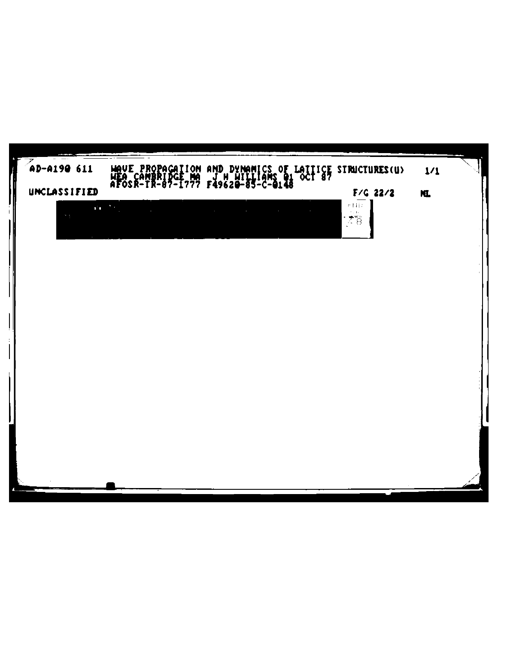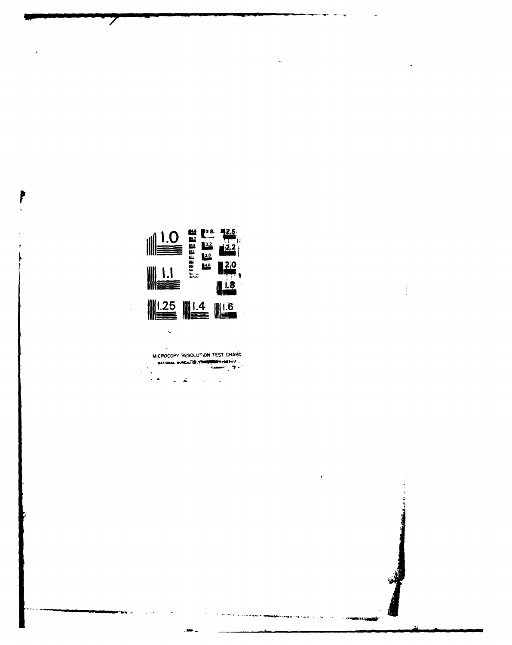

 $\frac{1}{2}$ 

 $\overline{ }$ 

 $\mathbb{Z}$ MICROCOPY RESOLUTION TEST CHART عواص الجاذ  $\sim$   $^{-1}$  $\sim$   $\sim$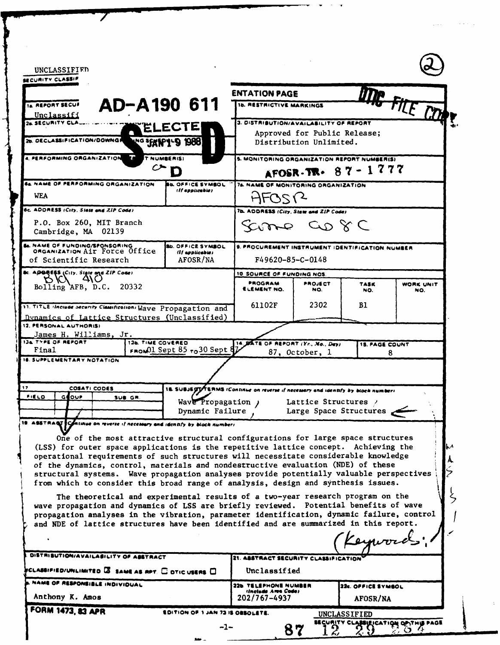| SECURITY CLASSIF<br>AD-A190 611<br>14. REPORT SECUI<br>Unclassifi<br>24 SECURITY CLA<br>26. DECLASSIFICATION/DOWNGR<br><u>kg innig 1988</u><br>T NUMBERISI<br>4. PERFORMING ORGANIZATION EN<br>C►<br>D                                                                                                                                                        |                                                                                   | <b>ENTATION PAGE</b><br>THE FILE COMP.<br><b>16. RESTRICTIVE MARKINGS</b>                                                                                             |                       |                       |                         |
|---------------------------------------------------------------------------------------------------------------------------------------------------------------------------------------------------------------------------------------------------------------------------------------------------------------------------------------------------------------|-----------------------------------------------------------------------------------|-----------------------------------------------------------------------------------------------------------------------------------------------------------------------|-----------------------|-----------------------|-------------------------|
|                                                                                                                                                                                                                                                                                                                                                               |                                                                                   | 3. DISTRIBUTION/AVAILABILITY OF REPORT<br>Approved for Public Release;<br>Distribution Unlimited.<br>5. MONITORING ORGANIZATION REPORT NUMBER(S)<br>AFOSR-TR- 87-1777 |                       |                       |                         |
|                                                                                                                                                                                                                                                                                                                                                               |                                                                                   |                                                                                                                                                                       |                       |                       |                         |
| 6c. ADDRESS (City, State and ZIP Code)<br>P.O. Box 260, MIT Branch<br>Cambridge, MA 02139                                                                                                                                                                                                                                                                     |                                                                                   | 7b. ADDRESS (City, State and ZIP Code)<br>Samo Co 8 C                                                                                                                 |                       |                       |                         |
| <b>Se. NAME OF FUNDING/SPONSORING</b><br>ORGANIZATION AIT FOTCE Office<br>of Scientific Research                                                                                                                                                                                                                                                              | <b>BD. OFFICE SYMBOL</b><br>(If applicable)<br>AFOSR/NA                           | 9. PROCUREMENT INSTRUMENT IDENTIFICATION NUMBER<br>F49620-85-C-0148                                                                                                   |                       |                       |                         |
| 8c. ADBREES (City, State and ZIP Code)<br>DICI 410                                                                                                                                                                                                                                                                                                            |                                                                                   | 10. SOURCE OF FUNDING NOS.                                                                                                                                            |                       |                       |                         |
| Bolling AFB, D.C. 20332                                                                                                                                                                                                                                                                                                                                       |                                                                                   | PROGRAM<br>ELEMENT NO.                                                                                                                                                | <b>PROJECT</b><br>NO. | <b>TASK</b><br>NO.    | <b>WORK UNIT</b><br>NO. |
| 11. TITLE themes security Classifications Wave Propagation and<br>Dynamics of Lattice Structures (Unclassified)                                                                                                                                                                                                                                               |                                                                                   | 61102F                                                                                                                                                                | 2302                  | Bl                    |                         |
| 12. PERSONAL AUTHORIS)                                                                                                                                                                                                                                                                                                                                        |                                                                                   |                                                                                                                                                                       |                       |                       |                         |
| James H. Williams, Jr.<br>134 TYPE OF REPORT<br>136. TIME COVERED                                                                                                                                                                                                                                                                                             |                                                                                   | 14. DATE OF REPORT (Yr., No., Day)                                                                                                                                    |                       | <b>15. PAGE COUNT</b> |                         |
| Final<br>16. SUPPLEMENTARY NOTATION                                                                                                                                                                                                                                                                                                                           | FROMOI Sept 85 $_{70}$ 30 Sept $\frac{1}{V}$                                      |                                                                                                                                                                       | 87, October, 1        |                       | 8                       |
|                                                                                                                                                                                                                                                                                                                                                               |                                                                                   |                                                                                                                                                                       |                       |                       |                         |
| 17<br><b>COSATI CODES</b><br><b>FIELD</b><br>GEOUP                                                                                                                                                                                                                                                                                                            | 18. SUBJEGTYTERMS (Continue on reverse if necessary and identify by block number) |                                                                                                                                                                       |                       |                       |                         |
| SUB GR.                                                                                                                                                                                                                                                                                                                                                       | Wave Propagation )<br>Dynamic Failure                                             | Lattice Structures /<br>Large Space Structures                                                                                                                        |                       |                       |                         |
| 19. ASSTRACT Continue on reverse if necessary and identify by block numbers                                                                                                                                                                                                                                                                                   |                                                                                   |                                                                                                                                                                       |                       |                       |                         |
| One of the most attractive structural configurations for large space structures<br>(LSS) for outer space applications is the repetitive lattice concept. Achieving the                                                                                                                                                                                        |                                                                                   |                                                                                                                                                                       |                       |                       |                         |
| operational requirements of such structures will necessitate considerable knowledge<br>of the dynamics, control, materials and nondestructive evaluation (NDE) of these<br>structural systems. Wave propagation analyses provide potentially valuable perspectives<br>from which to consider this broad range of analysis, design and synthesis issues.       |                                                                                   |                                                                                                                                                                       |                       |                       |                         |
| The theoretical and experimental results of a two-year research program on the<br>wave propagation and dynamics of LSS are briefly reviewed. Potential benefits of wave<br>propagation analyses in the vibration, parameter identification, dynamic failure, control<br>and NDE of lattice structures have been identified and are summarized in this report. |                                                                                   |                                                                                                                                                                       |                       |                       |                         |
|                                                                                                                                                                                                                                                                                                                                                               |                                                                                   | 21. ASSTRACT SECURITY CLASSIFICATION                                                                                                                                  |                       | Keywords;             |                         |
| DISTRIBUTION/AVAILABILITY OF ASSTRACT<br>CLASSIFIED/UNLIMITED $\overline{\mathbf{B}}$ same as not. $\Box$ otic users $\Box$<br>NAME OF RESPONSIBLE INDIVIDUAL                                                                                                                                                                                                 |                                                                                   | Unclassified                                                                                                                                                          |                       |                       |                         |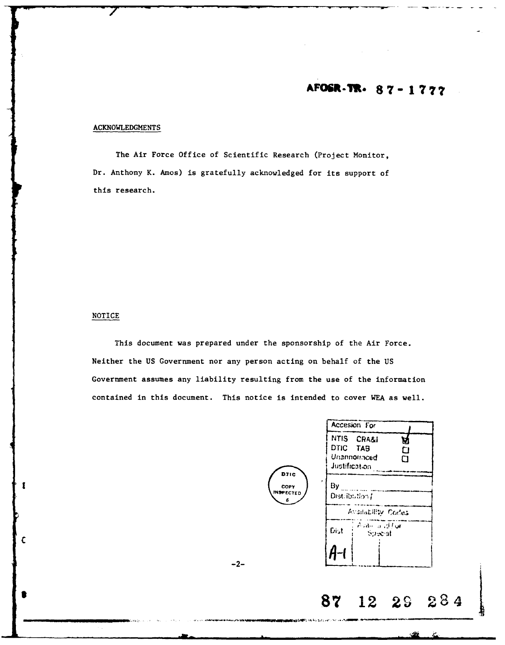# AFOSR-TR- 87-1777

## **ACKNOWLEDGMENTS**

The Air Force Office of Scientific Research (Project Monitor, Dr. Anthony K. Amos) is gratefully acknowledged for its support of this research.

### NOTICE

 $\mathbf{I}$ 

 $\mathbf c$ 

This document was prepared under the sponsorship of the Air Force. Neither the US Government nor any person acting on behalf of the US Government assumes any liability resulting from the use of the information contained in this document. This notice is intended to cover WEA as well.

 $-2-$ 

| Accesion For                                                           |                                                                                     |
|------------------------------------------------------------------------|-------------------------------------------------------------------------------------|
| NTIS CRA&I<br>v<br>DTIC TAB<br>D<br>Unannomiced<br>רז<br>Justification |                                                                                     |
| By<br>Distribution /                                                   |                                                                                     |
|                                                                        |                                                                                     |
| Dist<br><b>Special</b>                                                 |                                                                                     |
|                                                                        |                                                                                     |
| 87<br>28<br>12<br>29                                                   |                                                                                     |
|                                                                        | Availability Codes<br>. Avale la vd flor<br><b>Maddellin State And Long Control</b> |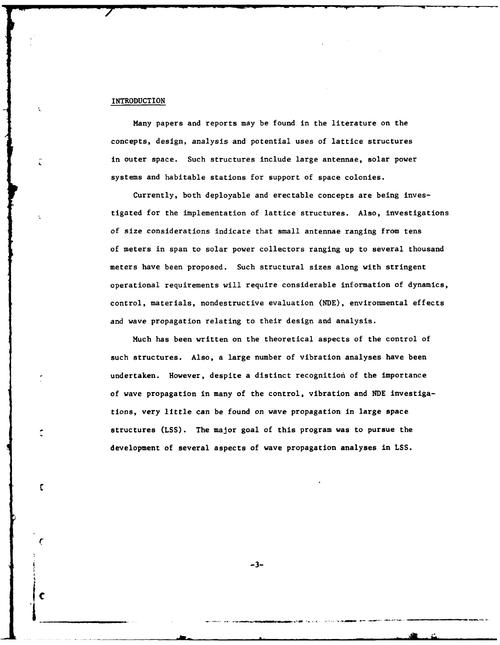#### INTRODUCTION

**C**

r

C

Many papers and reports may be found. in the literature on the concepts, design, analysis and potential uses of lattice structures in outer space. Such structures include large antennae, solar power systems and habitable stations for support of space colonies.

Currently, both deployable and erectable concepts are being investigated for the implementation of lattice structures. Also, investigations of size considerations indicate that small antennae ranging from tens of meters in span to solar power collectors ranging up to several thousand meters have been proposed. Such structural sizes along with stringent operational requirements will require considerable information of dynamics, control, materials, nondestructive evaluation (NDE), environmental effects and wave propagation relating to their design and analysis.

Much has been written on the theoretical aspects of the control of such structures. Also, a large number of vibration analyses have been undertaken. However, despite a distinct recognition of the importance of wave propagation in many of the control, vibration and **NDE** investigations, very little can be found on wave propagation in large space structures **(LSS).** The major goal of this program was to pursue the development of several aspects of wave propagation analyses in **LSS.**

 $-3-$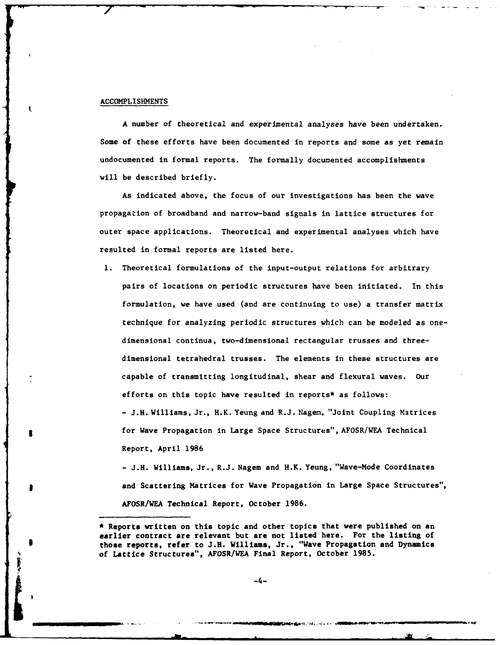#### ACCOMPLISHMENTS

A number of theoretical and experimental analyses have been undertaken. Some of these efforts have been documented in reports and some as yet remain undocumented in formal reports. The formally documented accomplishments will be described briefly.

As indicated above, the focus of our investigations has been the wave propagation of broadband and narrow-band signals in lattice structures for outer space applications. Theoretical and experimental analyses which have resulted in formal reports are listed here.

**1.** Theoretical formulations of the input-output relations for arbitrary pairs of locations on periodic structures have been initiated. In this formulation, we have used (and are continuing to use) a transfer matrix technique for analyzing periodic structures which can be modeled as onedimensional continua, two-dimensional rectangular trusses and threedimensional tetrahedral trusses. The elements in these structures are capable of transmitting longitudinal, shear and flexural waves. Our efforts on this topic have resulted in reports\* as follows: - J.H. Williams, Jr., H.K. Yeung and R.J. Nagem, "Joint Coupling Matrices for Wave Propagation in Large Space Structures", AFOSR/WEA Technical Report, April 1986

**-** J.H. Williams, Jr., R.J. Nagem and H.K. Yeung, "Wave-Mode Coordinates and Scattering Matrices for Wave Propagation in Large Space Structures", AFOSR/WEA Technical Report, October 1986.

<sup>\*</sup> Reports written on this topic and other topics that were published on an earlier contract are relevant but are not listed here. For the listing of those reports, refer to J.H. Williams, Jr., "Wave Propagation and Dynamics of Lattice Structures", AFOSR/WEA Final Report, October 1985.<br>-4-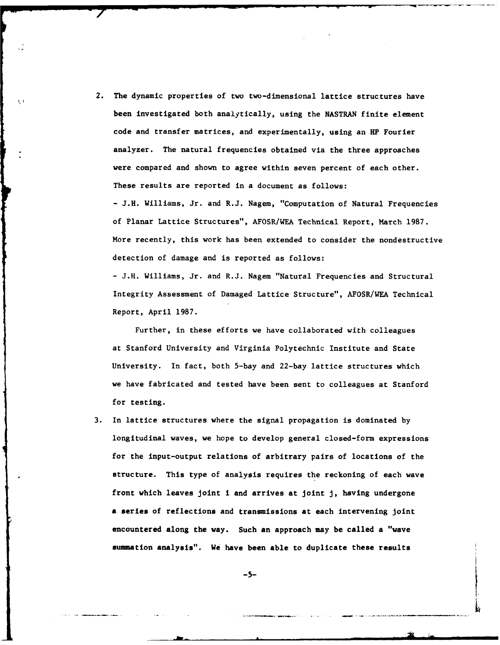2. The dynamic properties of two two-dimensional lattice structures have been investigated both analytically, using the **NASTRAN** finite element code and transfer matrices, and experimentally, using an HP Fourier analyzer. The natural frequencies obtained via the three approaches were compared and shown to agree within seven percent of each other. These results are reported in a document as follows: **- J.H.** Williams, Jr. and R.J. Nagem, "Computation of Natural Frequencies of Planar Lattice Structures", AFOSR/WEA Technical Report, March 1987. More recently, this work has been extended to consider the nondestructive detection of damage and is reported as follows:

 $\mathbf{C}$ 

**-** J.H. Williams, Jr. and R.J. Nagem "Natural Frequencies and Structural Integrity Assessment of Damaged Lattice Structure", AFOSR/WEA Technical Report, April 1987.

Further, in these efforts we have collaborated with colleagues at Stanford University and Virginia Polytechnic Institute and State University. In fact, both 5-bay and 22-bay lattice structures which we have fabricated and tested have been sent to colleagues at Stanford for testing.

**3.** In lattice structures where the signal propagation is dominated by longitudinal waves, we hope to develop general closed-form expressions for the input-output relations of arbitrary pairs of locations of the structure. This type of analysis requires the reckoning of each wave front which leaves joint i and arrives at joint **J,** having undergone a series of reflections and transmissions at each intervening joint encountered along the way. Such an approach may be called a "wave summation analysis". We have been able to duplicate these results

**-5- I**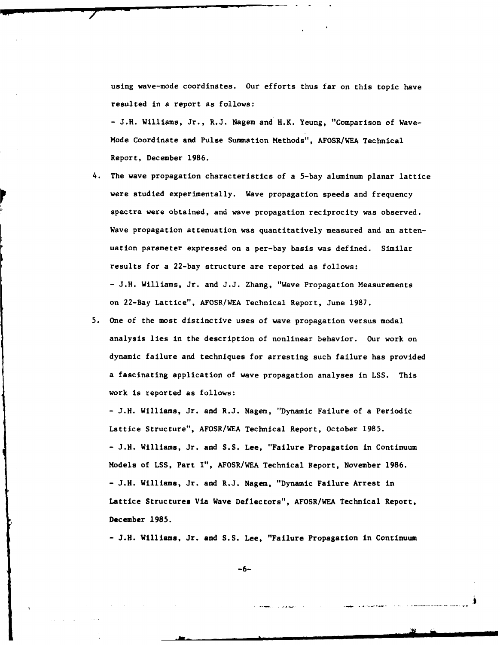using wave-mode coordinates. Our efforts thus far on this topic have resulted in a report as follows:

**-** J.H. Williams, Jr., R.J. Nagem and H.K. Yeung, "Comparison of Wave-Mode Coordinate and Pulse Summation Methods", AFOSR/WEA Technical Report, December **1986.**

- 4. The wave propagation characteristics of a 5-bay aluminum planar lattice were studied experimentally. Wave propagation speeds and frequency spectra were obtained, and wave propagation reciprocity was observed. Wave propagation attenuation was quantitatively measured and an attenuation parameter expressed on a per-bay basis was defined. Similar results for a 22-bay structure are reported as follows: **-** J.H. Williams, Jr. and J.J. Zhang, "Wave Propagation Measurements on 22-Bay Lattice", AFOSR/WEA Technical Report, June **1987.**
- 5. One of the most distinctive uses of wave propagation versus modal analysis lies in the description of nonlinear behavior. Our work on dynamic failure and techniques for arresting such failure has provided a fascinating application of wave propagation analyses in **LSS.** This work is reported as follows:

**-** J.H. Williams, Jr. and R.J. Nagem, "Dynamic Failure of a Periodic Lattice Structure", AFOSR/WEA Technical Report, October 1985. **-** J.H. Williams, Jr. and S.S. Lee, "Failure Propagation in Continuum Models of LSS, Part I", AFOSR/WEA Technical Report, November 1986. **-** J.H. Williams, Jr. and R.J. Nagem, "Dynamic Failure Arrest in Lattice Structures Via Wave Deflectors", AFOSR/WEA Technical Report, December **1985.**

**-** J.H. Williams, Jr. and **S.S.** Lee, "Failure Propagation in Continuum

**-6-**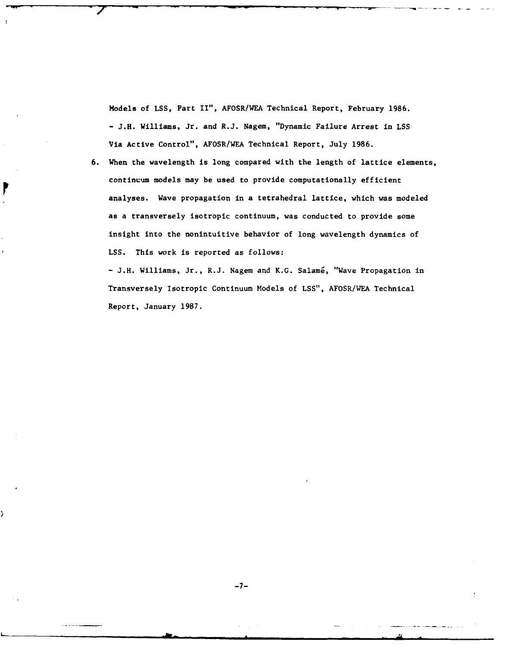Models of **LSS,** Part II", AFOSR/WEA Technical Report, February 1986. **- J.H.** Williams, Jr. and R.J. Nagem, "Dynamic Failure Arrest in **LSS** Via Active Control", AFOSR/WEA Technical Report, July **1986.**

**6.** When the wavelength is long compared with the length of lattice elements, continuum models may be used to provide computationally efficient analyses. Wave propagation in a tetrahedral lattice, which was modeled as a transversely isotropic continuum, was conducted to provide some insight into the nonintuitive behavior of long wavelength dynamics of **LSS.** This work is reported as follows:

**- J.H.** Williams, Jr., R.J. Nagem and K.G. Salami, "Wave Propagation in Transversely Isotropic Continuum Models of **LSS",** AFOSR/WEA Technical Report, January **1987.**

**.,,** , mm~ mmmmaua u **mmmA0** •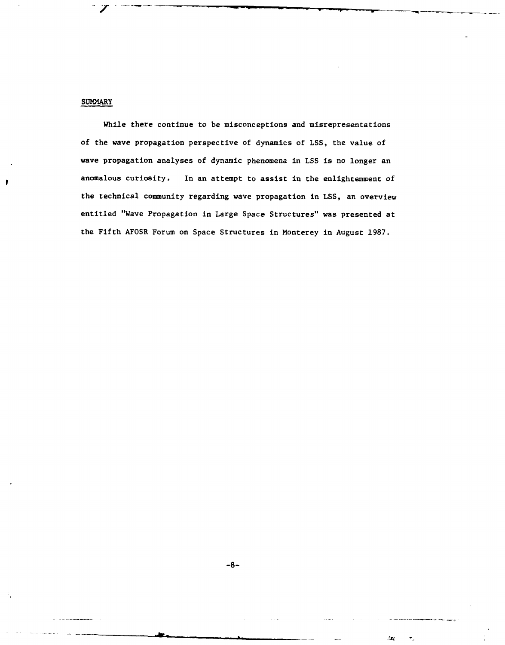## **SUMMARY**

While there continue to be misconceptions and misrepresentations of the wave propagation perspective of dynamics of **LSS,** the value of wave propagation analyses of dynamic phenomena in **LSS** is no longer an anomalous curiosity. In an attempt to assist in the enlightenment of the technical community regarding wave propagation in **LSS,** an overview entitled "Wave Propagation in Large Space Structures" was presented at the Fifth AFOSR Forum on Space Structures in Monterey in August 1987.